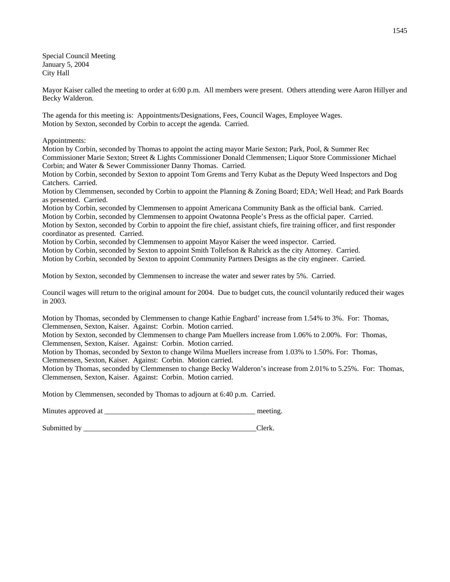Special Council Meeting January 5, 2004 City Hall

Mayor Kaiser called the meeting to order at 6:00 p.m. All members were present. Others attending were Aaron Hillyer and Becky Walderon.

The agenda for this meeting is: Appointments/Designations, Fees, Council Wages, Employee Wages. Motion by Sexton, seconded by Corbin to accept the agenda. Carried.

Appointments:

Motion by Corbin, seconded by Thomas to appoint the acting mayor Marie Sexton; Park, Pool, & Summer Rec Commissioner Marie Sexton; Street & Lights Commissioner Donald Clemmensen; Liquor Store Commissioner Michael Corbin; and Water & Sewer Commissioner Danny Thomas. Carried.

Motion by Corbin, seconded by Sexton to appoint Tom Grems and Terry Kubat as the Deputy Weed Inspectors and Dog Catchers. Carried.

Motion by Clemmensen, seconded by Corbin to appoint the Planning & Zoning Board; EDA; Well Head; and Park Boards as presented. Carried.

Motion by Corbin, seconded by Clemmensen to appoint Americana Community Bank as the official bank. Carried. Motion by Corbin, seconded by Clemmensen to appoint Owatonna People's Press as the official paper. Carried. Motion by Sexton, seconded by Corbin to appoint the fire chief, assistant chiefs, fire training officer, and first responder coordinator as presented. Carried.

Motion by Corbin, seconded by Clemmensen to appoint Mayor Kaiser the weed inspector. Carried.

Motion by Corbin, seconded by Sexton to appoint Smith Tollefson & Rahrick as the city Attorney. Carried.

Motion by Corbin, seconded by Sexton to appoint Community Partners Designs as the city engineer. Carried.

Motion by Sexton, seconded by Clemmensen to increase the water and sewer rates by 5%. Carried.

Council wages will return to the original amount for 2004. Due to budget cuts, the council voluntarily reduced their wages in 2003.

Motion by Thomas, seconded by Clemmensen to change Kathie Engbard' increase from 1.54% to 3%. For: Thomas, Clemmensen, Sexton, Kaiser. Against: Corbin. Motion carried.

Motion by Sexton, seconded by Clemmensen to change Pam Muellers increase from 1.06% to 2.00%. For: Thomas, Clemmensen, Sexton, Kaiser. Against: Corbin. Motion carried.

Motion by Thomas, seconded by Sexton to change Wilma Muellers increase from 1.03% to 1.50%. For: Thomas,

Clemmensen, Sexton, Kaiser. Against: Corbin. Motion carried.

Motion by Thomas, seconded by Clemmensen to change Becky Walderon's increase from 2.01% to 5.25%. For: Thomas, Clemmensen, Sexton, Kaiser. Against: Corbin. Motion carried.

Motion by Clemmensen, seconded by Thomas to adjourn at 6:40 p.m. Carried.

Minutes approved at the setting.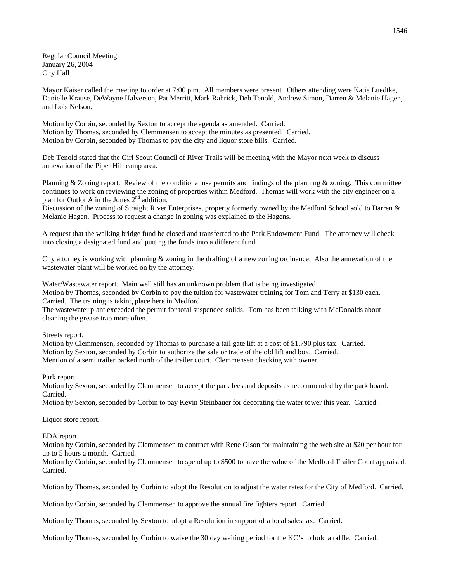Regular Council Meeting January 26, 2004 City Hall

Mayor Kaiser called the meeting to order at 7:00 p.m. All members were present. Others attending were Katie Luedtke, Danielle Krause, DeWayne Halverson, Pat Merritt, Mark Rahrick, Deb Tenold, Andrew Simon, Darren & Melanie Hagen, and Lois Nelson.

Motion by Corbin, seconded by Sexton to accept the agenda as amended. Carried. Motion by Thomas, seconded by Clemmensen to accept the minutes as presented. Carried. Motion by Corbin, seconded by Thomas to pay the city and liquor store bills. Carried.

Deb Tenold stated that the Girl Scout Council of River Trails will be meeting with the Mayor next week to discuss annexation of the Piper Hill camp area.

Planning & Zoning report. Review of the conditional use permits and findings of the planning & zoning. This committee continues to work on reviewing the zoning of properties within Medford. Thomas will work with the city engineer on a plan for Outlot A in the Jones  $2<sup>nd</sup>$  addition.

Discussion of the zoning of Straight River Enterprises, property formerly owned by the Medford School sold to Darren & Melanie Hagen. Process to request a change in zoning was explained to the Hagens.

A request that the walking bridge fund be closed and transferred to the Park Endowment Fund. The attorney will check into closing a designated fund and putting the funds into a different fund.

City attorney is working with planning & zoning in the drafting of a new zoning ordinance. Also the annexation of the wastewater plant will be worked on by the attorney.

Water/Wastewater report. Main well still has an unknown problem that is being investigated.

Motion by Thomas, seconded by Corbin to pay the tuition for wastewater training for Tom and Terry at \$130 each. Carried. The training is taking place here in Medford.

The wastewater plant exceeded the permit for total suspended solids. Tom has been talking with McDonalds about cleaning the grease trap more often.

Streets report.

Motion by Clemmensen, seconded by Thomas to purchase a tail gate lift at a cost of \$1,790 plus tax. Carried. Motion by Sexton, seconded by Corbin to authorize the sale or trade of the old lift and box. Carried. Mention of a semi trailer parked north of the trailer court. Clemmensen checking with owner.

Park report.

Motion by Sexton, seconded by Clemmensen to accept the park fees and deposits as recommended by the park board. Carried.

Motion by Sexton, seconded by Corbin to pay Kevin Steinbauer for decorating the water tower this year. Carried.

Liquor store report.

EDA report.

Motion by Corbin, seconded by Clemmensen to contract with Rene Olson for maintaining the web site at \$20 per hour for up to 5 hours a month. Carried.

Motion by Corbin, seconded by Clemmensen to spend up to \$500 to have the value of the Medford Trailer Court appraised. Carried.

Motion by Thomas, seconded by Corbin to adopt the Resolution to adjust the water rates for the City of Medford. Carried.

Motion by Corbin, seconded by Clemmensen to approve the annual fire fighters report. Carried.

Motion by Thomas, seconded by Sexton to adopt a Resolution in support of a local sales tax. Carried.

Motion by Thomas, seconded by Corbin to waive the 30 day waiting period for the KC's to hold a raffle. Carried.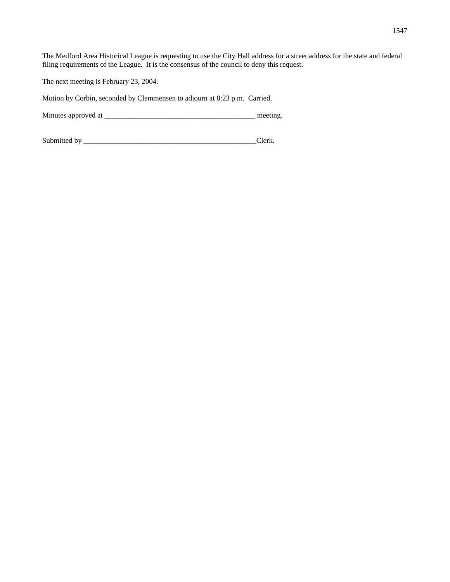The Medford Area Historical League is requesting to use the City Hall address for a street address for the state and federal filing requirements of the League. It is the consensus of the council to deny this request.

The next meeting is February 23, 2004.

Motion by Corbin, seconded by Clemmensen to adjourn at 8:23 p.m. Carried.

Minutes approved at \_\_\_\_\_\_\_\_\_\_\_\_\_\_\_\_\_\_\_\_\_\_\_\_\_\_\_\_\_\_\_\_\_\_\_\_\_\_\_\_\_ meeting.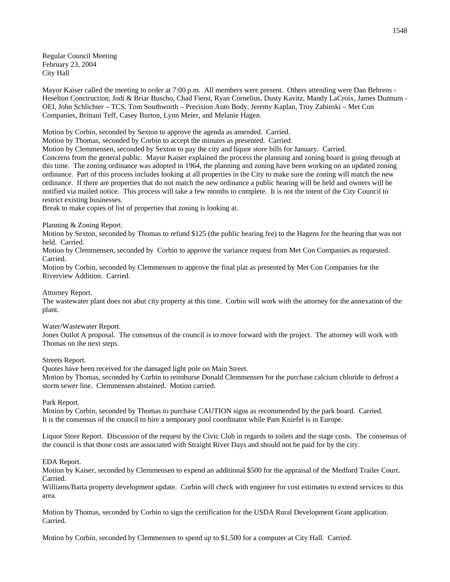Regular Council Meeting February 23, 2004 City Hall

Mayor Kaiser called the meeting to order at 7:00 p.m. All members were present. Others attending were Dan Behrens - Heselton Conctruction, Jodi & Briar Buscho, Chad Fierst, Ryan Cornelius, Dusty Kavitz, Mandy LaCroix, James Dunnum - OEI, John Schlichter – TCS, Tom Southworth – Precision Auto Body, Jeremy Kaplan, Troy Zabinski – Met Con Companies, Brittani Teff, Casey Burton, Lynn Meier, and Melanie Hagen.

Motion by Corbin, seconded by Sexton to approve the agenda as amended. Carried.

Motion by Thomas, seconded by Corbin to accept the minutes as presented. Carried.

Motion by Clemmensen, seconded by Sexton to pay the city and liquor store bills for January. Carried. Concerns from the general public. Mayor Kaiser explained the process the planning and zoning board is going through at

this time. The zoning ordinance was adopted in 1964, the planning and zoning have been working on an updated zoning ordinance. Part of this process includes looking at all properties in the City to make sure the zoning will match the new ordinance. If there are properties that do not match the new ordinance a public hearing will be held and owners will be notified via mailed notice. This process will take a few months to complete. It is not the intent of the City Council to restrict existing businesses.

Break to make copies of list of properties that zoning is looking at.

Planning & Zoning Report.

Motion by Sexton, seconded by Thomas to refund \$125 (the public hearing fee) to the Hagens for the hearing that was not held. Carried.

Motion by Clemmensen, seconded by Corbin to approve the variance request from Met Con Companies as requested. Carried.

Motion by Corbin, seconded by Clemmensen to approve the final plat as presented by Met Con Companies for the Riverview Addition. Carried.

Attorney Report.

The wastewater plant does not abut city property at this time. Corbin will work with the attorney for the annexation of the plant.

### Water/Wastewater Report.

Jones Outlot A proposal. The consensus of the council is to move forward with the project. The attorney will work with Thomas on the next steps.

#### Streets Report.

Quotes have been received for the damaged light pole on Main Street.

Motion by Thomas, seconded by Corbin to reimburse Donald Clemmensen for the purchase calcium chloride to defrost a storm sewer line. Clemmensen abstained. Motion carried.

Park Report.

Motion by Corbin, seconded by Thomas to purchase CAUTION signs as recommended by the park board. Carried. It is the consensus of the council to hire a temporary pool coordinator while Pam Kniefel is in Europe.

Liquor Store Report. Discussion of the request by the Civic Club in regards to toilets and the stage costs. The consensus of the council is that those costs are associated with Straight River Days and should not be paid for by the city.

### EDA Report.

Motion by Kaiser, seconded by Clemmensen to expend an additional \$500 for the appraisal of the Medford Trailer Court. Carried.

Williams/Barta property development update. Corbin will check with engineer for cost estimates to extend services to this area.

Motion by Thomas, seconded by Corbin to sign the certification for the USDA Rural Development Grant application. Carried.

Motion by Corbin, seconded by Clemmensen to spend up to \$1,500 for a computer at City Hall. Carried.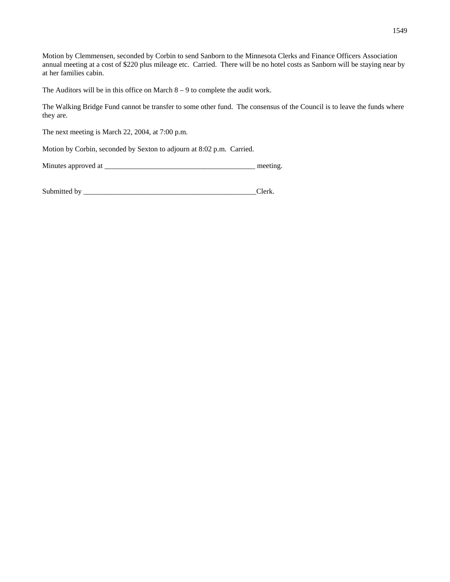Motion by Clemmensen, seconded by Corbin to send Sanborn to the Minnesota Clerks and Finance Officers Association annual meeting at a cost of \$220 plus mileage etc. Carried. There will be no hotel costs as Sanborn will be staying near by at her families cabin.

The Auditors will be in this office on March  $8 - 9$  to complete the audit work.

The Walking Bridge Fund cannot be transfer to some other fund. The consensus of the Council is to leave the funds where they are.

The next meeting is March 22, 2004, at 7:00 p.m.

Motion by Corbin, seconded by Sexton to adjourn at 8:02 p.m. Carried.

| Minutes approved at |  | meeting |
|---------------------|--|---------|
|---------------------|--|---------|

| Submitted<br>$n \cdot r$ |  |
|--------------------------|--|
|                          |  |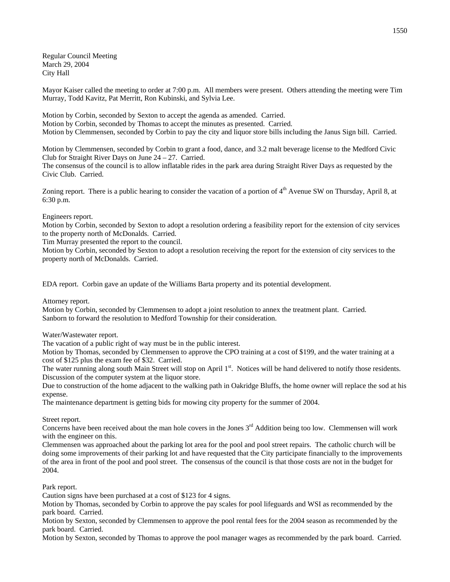Regular Council Meeting March 29, 2004 City Hall

Mayor Kaiser called the meeting to order at 7:00 p.m. All members were present. Others attending the meeting were Tim Murray, Todd Kavitz, Pat Merritt, Ron Kubinski, and Sylvia Lee.

Motion by Corbin, seconded by Sexton to accept the agenda as amended. Carried. Motion by Corbin, seconded by Thomas to accept the minutes as presented. Carried. Motion by Clemmensen, seconded by Corbin to pay the city and liquor store bills including the Janus Sign bill. Carried.

Motion by Clemmensen, seconded by Corbin to grant a food, dance, and 3.2 malt beverage license to the Medford Civic Club for Straight River Days on June 24 – 27. Carried.

The consensus of the council is to allow inflatable rides in the park area during Straight River Days as requested by the Civic Club. Carried.

Zoning report. There is a public hearing to consider the vacation of a portion of  $4<sup>th</sup>$  Avenue SW on Thursday, April 8, at 6:30 p.m.

# Engineers report.

Motion by Corbin, seconded by Sexton to adopt a resolution ordering a feasibility report for the extension of city services to the property north of McDonalds. Carried.

Tim Murray presented the report to the council.

Motion by Corbin, seconded by Sexton to adopt a resolution receiving the report for the extension of city services to the property north of McDonalds. Carried.

EDA report. Corbin gave an update of the Williams Barta property and its potential development.

Attorney report.

Motion by Corbin, seconded by Clemmensen to adopt a joint resolution to annex the treatment plant. Carried. Sanborn to forward the resolution to Medford Township for their consideration.

Water/Wastewater report.

The vacation of a public right of way must be in the public interest.

Motion by Thomas, seconded by Clemmensen to approve the CPO training at a cost of \$199, and the water training at a cost of \$125 plus the exam fee of \$32. Carried.

The water running along south Main Street will stop on April 1<sup>st</sup>. Notices will be hand delivered to notify those residents. Discussion of the computer system at the liquor store.

Due to construction of the home adjacent to the walking path in Oakridge Bluffs, the home owner will replace the sod at his expense.

The maintenance department is getting bids for mowing city property for the summer of 2004.

Street report.

Concerns have been received about the man hole covers in the Jones 3<sup>rd</sup> Addition being too low. Clemmensen will work with the engineer on this.

Clemmensen was approached about the parking lot area for the pool and pool street repairs. The catholic church will be doing some improvements of their parking lot and have requested that the City participate financially to the improvements of the area in front of the pool and pool street. The consensus of the council is that those costs are not in the budget for 2004.

Park report.

Caution signs have been purchased at a cost of \$123 for 4 signs.

Motion by Thomas, seconded by Corbin to approve the pay scales for pool lifeguards and WSI as recommended by the park board. Carried.

Motion by Sexton, seconded by Clemmensen to approve the pool rental fees for the 2004 season as recommended by the park board. Carried.

Motion by Sexton, seconded by Thomas to approve the pool manager wages as recommended by the park board. Carried.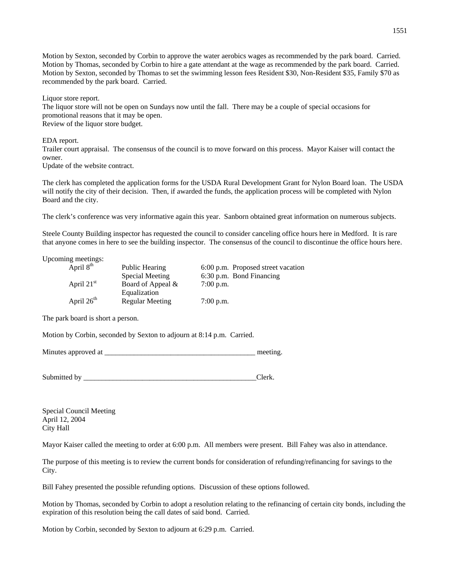Motion by Sexton, seconded by Corbin to approve the water aerobics wages as recommended by the park board. Carried. Motion by Thomas, seconded by Corbin to hire a gate attendant at the wage as recommended by the park board. Carried. Motion by Sexton, seconded by Thomas to set the swimming lesson fees Resident \$30, Non-Resident \$35, Family \$70 as recommended by the park board. Carried.

Liquor store report.

The liquor store will not be open on Sundays now until the fall. There may be a couple of special occasions for promotional reasons that it may be open. Review of the liquor store budget.

EDA report.

Trailer court appraisal. The consensus of the council is to move forward on this process. Mayor Kaiser will contact the owner.

Update of the website contract.

The clerk has completed the application forms for the USDA Rural Development Grant for Nylon Board loan. The USDA will notify the city of their decision. Then, if awarded the funds, the application process will be completed with Nylon Board and the city.

The clerk's conference was very informative again this year. Sanborn obtained great information on numerous subjects.

Steele County Building inspector has requested the council to consider canceling office hours here in Medford. It is rare that anyone comes in here to see the building inspector. The consensus of the council to discontinue the office hours here.

Upcoming meetings:

| April 8 <sup>th</sup> | Public Hearing    | 6:00 p.m. Proposed street vacation |
|-----------------------|-------------------|------------------------------------|
|                       | Special Meeting   | 6:30 p.m. Bond Financing           |
| April $21st$          | Board of Appeal & | $7:00$ p.m.                        |
|                       | Equalization      |                                    |
| April $26th$          | Regular Meeting   | $7:00$ p.m.                        |

The park board is short a person.

Motion by Corbin, seconded by Sexton to adjourn at 8:14 p.m. Carried.

Minutes approved at \_\_\_\_\_\_\_\_\_\_\_\_\_\_\_\_\_\_\_\_\_\_\_\_\_\_\_\_\_\_\_\_\_\_\_\_\_\_\_\_\_ meeting.

Submitted by Clerk.

Special Council Meeting April 12, 2004 City Hall

Mayor Kaiser called the meeting to order at 6:00 p.m. All members were present. Bill Fahey was also in attendance.

The purpose of this meeting is to review the current bonds for consideration of refunding/refinancing for savings to the City.

Bill Fahey presented the possible refunding options. Discussion of these options followed.

Motion by Thomas, seconded by Corbin to adopt a resolution relating to the refinancing of certain city bonds, including the expiration of this resolution being the call dates of said bond. Carried.

Motion by Corbin, seconded by Sexton to adjourn at 6:29 p.m. Carried.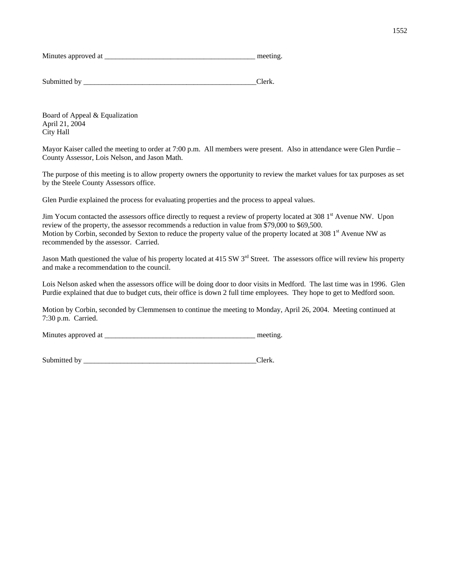Minutes approved at  $\Box$ 

Submitted by \_\_\_\_\_\_\_\_\_\_\_\_\_\_\_\_\_\_\_\_\_\_\_\_\_\_\_\_\_\_\_\_\_\_\_\_\_\_\_\_\_\_\_\_\_\_\_Clerk.

Board of Appeal & Equalization April 21, 2004 City Hall

Mayor Kaiser called the meeting to order at 7:00 p.m. All members were present. Also in attendance were Glen Purdie – County Assessor, Lois Nelson, and Jason Math.

The purpose of this meeting is to allow property owners the opportunity to review the market values for tax purposes as set by the Steele County Assessors office.

Glen Purdie explained the process for evaluating properties and the process to appeal values.

Jim Yocum contacted the assessors office directly to request a review of property located at  $308\,1<sup>st</sup>$  Avenue NW. Upon review of the property, the assessor recommends a reduction in value from \$79,000 to \$69,500. Motion by Corbin, seconded by Sexton to reduce the property value of the property located at 308 1<sup>st</sup> Avenue NW as recommended by the assessor. Carried.

Jason Math questioned the value of his property located at 415 SW  $3<sup>rd</sup>$  Street. The assessors office will review his property and make a recommendation to the council.

Lois Nelson asked when the assessors office will be doing door to door visits in Medford. The last time was in 1996. Glen Purdie explained that due to budget cuts, their office is down 2 full time employees. They hope to get to Medford soon.

Motion by Corbin, seconded by Clemmensen to continue the meeting to Monday, April 26, 2004. Meeting continued at 7:30 p.m. Carried.

Minutes approved at \_\_\_\_\_\_\_\_\_\_\_\_\_\_\_\_\_\_\_\_\_\_\_\_\_\_\_\_\_\_\_\_\_\_\_\_\_\_\_\_\_ meeting.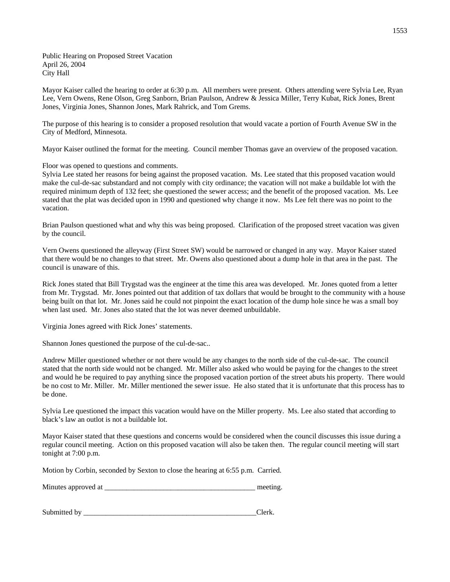Public Hearing on Proposed Street Vacation April 26, 2004 City Hall

Mayor Kaiser called the hearing to order at 6:30 p.m. All members were present. Others attending were Sylvia Lee, Ryan Lee, Vern Owens, Rene Olson, Greg Sanborn, Brian Paulson, Andrew & Jessica Miller, Terry Kubat, Rick Jones, Brent Jones, Virginia Jones, Shannon Jones, Mark Rahrick, and Tom Grems.

The purpose of this hearing is to consider a proposed resolution that would vacate a portion of Fourth Avenue SW in the City of Medford, Minnesota.

Mayor Kaiser outlined the format for the meeting. Council member Thomas gave an overview of the proposed vacation.

Floor was opened to questions and comments.

Sylvia Lee stated her reasons for being against the proposed vacation. Ms. Lee stated that this proposed vacation would make the cul-de-sac substandard and not comply with city ordinance; the vacation will not make a buildable lot with the required minimum depth of 132 feet; she questioned the sewer access; and the benefit of the proposed vacation. Ms. Lee stated that the plat was decided upon in 1990 and questioned why change it now. Ms Lee felt there was no point to the vacation.

Brian Paulson questioned what and why this was being proposed. Clarification of the proposed street vacation was given by the council.

Vern Owens questioned the alleyway (First Street SW) would be narrowed or changed in any way. Mayor Kaiser stated that there would be no changes to that street. Mr. Owens also questioned about a dump hole in that area in the past. The council is unaware of this.

Rick Jones stated that Bill Trygstad was the engineer at the time this area was developed. Mr. Jones quoted from a letter from Mr. Trygstad. Mr. Jones pointed out that addition of tax dollars that would be brought to the community with a house being built on that lot. Mr. Jones said he could not pinpoint the exact location of the dump hole since he was a small boy when last used. Mr. Jones also stated that the lot was never deemed unbuildable.

Virginia Jones agreed with Rick Jones' statements.

Shannon Jones questioned the purpose of the cul-de-sac..

Andrew Miller questioned whether or not there would be any changes to the north side of the cul-de-sac. The council stated that the north side would not be changed. Mr. Miller also asked who would be paying for the changes to the street and would he be required to pay anything since the proposed vacation portion of the street abuts his property. There would be no cost to Mr. Miller. Mr. Miller mentioned the sewer issue. He also stated that it is unfortunate that this process has to be done.

Sylvia Lee questioned the impact this vacation would have on the Miller property. Ms. Lee also stated that according to black's law an outlot is not a buildable lot.

Mayor Kaiser stated that these questions and concerns would be considered when the council discusses this issue during a regular council meeting. Action on this proposed vacation will also be taken then. The regular council meeting will start tonight at 7:00 p.m.

Motion by Corbin, seconded by Sexton to close the hearing at 6:55 p.m. Carried.

Minutes approved at \_\_\_\_\_\_\_\_\_\_\_\_\_\_\_\_\_\_\_\_\_\_\_\_\_\_\_\_\_\_\_\_\_\_\_\_\_\_\_\_\_ meeting.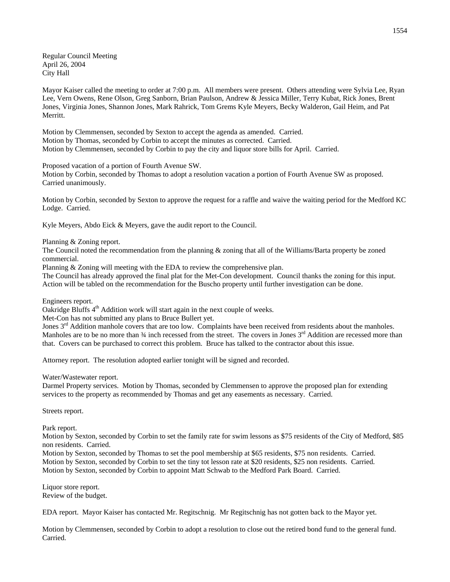Regular Council Meeting April 26, 2004 City Hall

Mayor Kaiser called the meeting to order at 7:00 p.m. All members were present. Others attending were Sylvia Lee, Ryan Lee, Vern Owens, Rene Olson, Greg Sanborn, Brian Paulson, Andrew & Jessica Miller, Terry Kubat, Rick Jones, Brent Jones, Virginia Jones, Shannon Jones, Mark Rahrick, Tom Grems Kyle Meyers, Becky Walderon, Gail Heim, and Pat Merritt.

Motion by Clemmensen, seconded by Sexton to accept the agenda as amended. Carried. Motion by Thomas, seconded by Corbin to accept the minutes as corrected. Carried. Motion by Clemmensen, seconded by Corbin to pay the city and liquor store bills for April. Carried.

Proposed vacation of a portion of Fourth Avenue SW.

Motion by Corbin, seconded by Thomas to adopt a resolution vacation a portion of Fourth Avenue SW as proposed. Carried unanimously.

Motion by Corbin, seconded by Sexton to approve the request for a raffle and waive the waiting period for the Medford KC Lodge. Carried.

Kyle Meyers, Abdo Eick & Meyers, gave the audit report to the Council.

Planning & Zoning report.

The Council noted the recommendation from the planning & zoning that all of the Williams/Barta property be zoned commercial.

Planning & Zoning will meeting with the EDA to review the comprehensive plan.

The Council has already approved the final plat for the Met-Con development. Council thanks the zoning for this input. Action will be tabled on the recommendation for the Buscho property until further investigation can be done.

Engineers report.

Oakridge Bluffs 4<sup>th</sup> Addition work will start again in the next couple of weeks.

Met-Con has not submitted any plans to Bruce Bullert yet.

Jones  $3<sup>rd</sup>$  Addition manhole covers that are too low. Complaints have been received from residents about the manholes. Manholes are to be no more than  $\frac{3}{4}$  inch recessed from the street. The covers in Jones  $3<sup>rd</sup>$  Addition are recessed more than that. Covers can be purchased to correct this problem. Bruce has talked to the contractor about this issue.

Attorney report. The resolution adopted earlier tonight will be signed and recorded.

Water/Wastewater report.

Darmel Property services. Motion by Thomas, seconded by Clemmensen to approve the proposed plan for extending services to the property as recommended by Thomas and get any easements as necessary. Carried.

Streets report.

Park report.

Motion by Sexton, seconded by Corbin to set the family rate for swim lessons as \$75 residents of the City of Medford, \$85 non residents. Carried.

Motion by Sexton, seconded by Thomas to set the pool membership at \$65 residents, \$75 non residents. Carried. Motion by Sexton, seconded by Corbin to set the tiny tot lesson rate at \$20 residents, \$25 non residents. Carried. Motion by Sexton, seconded by Corbin to appoint Matt Schwab to the Medford Park Board. Carried.

Liquor store report. Review of the budget.

EDA report. Mayor Kaiser has contacted Mr. Regitschnig. Mr Regitschnig has not gotten back to the Mayor yet.

Motion by Clemmensen, seconded by Corbin to adopt a resolution to close out the retired bond fund to the general fund. Carried.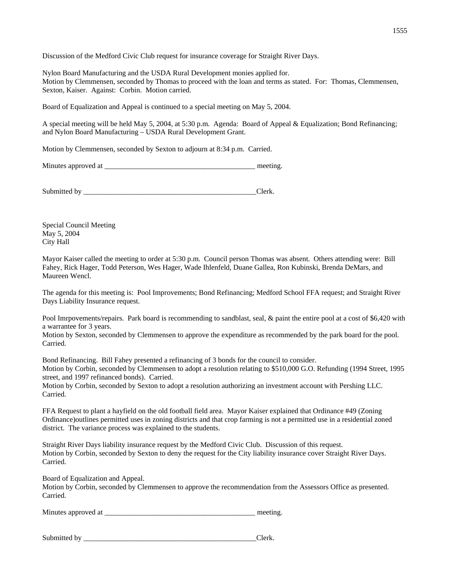Discussion of the Medford Civic Club request for insurance coverage for Straight River Days.

Nylon Board Manufacturing and the USDA Rural Development monies applied for. Motion by Clemmensen, seconded by Thomas to proceed with the loan and terms as stated. For: Thomas, Clemmensen, Sexton, Kaiser. Against: Corbin. Motion carried.

Board of Equalization and Appeal is continued to a special meeting on May 5, 2004.

A special meeting will be held May 5, 2004, at 5:30 p.m. Agenda: Board of Appeal & Equalization; Bond Refinancing; and Nylon Board Manufacturing – USDA Rural Development Grant.

Motion by Clemmensen, seconded by Sexton to adjourn at 8:34 p.m. Carried.

| Minutes approved at | meeting. |
|---------------------|----------|
|                     |          |

Submitted by \_\_\_\_\_\_\_\_\_\_\_\_\_\_\_\_\_\_\_\_\_\_\_\_\_\_\_\_\_\_\_\_\_\_\_\_\_\_\_\_\_\_\_\_\_\_\_Clerk.

Special Council Meeting May 5, 2004 City Hall

Mayor Kaiser called the meeting to order at 5:30 p.m. Council person Thomas was absent. Others attending were: Bill Fahey, Rick Hager, Todd Peterson, Wes Hager, Wade Ihlenfeld, Duane Gallea, Ron Kubinski, Brenda DeMars, and Maureen Wencl.

The agenda for this meeting is: Pool Improvements; Bond Refinancing; Medford School FFA request; and Straight River Days Liability Insurance request.

Pool Imrpovements/repairs. Park board is recommending to sandblast, seal, & paint the entire pool at a cost of \$6,420 with a warrantee for 3 years.

Motion by Sexton, seconded by Clemmensen to approve the expenditure as recommended by the park board for the pool. Carried.

Bond Refinancing. Bill Fahey presented a refinancing of 3 bonds for the council to consider. Motion by Corbin, seconded by Clemmensen to adopt a resolution relating to \$510,000 G.O. Refunding (1994 Street, 1995 street, and 1997 refinanced bonds). Carried.

Motion by Corbin, seconded by Sexton to adopt a resolution authorizing an investment account with Pershing LLC. Carried.

FFA Request to plant a hayfield on the old football field area. Mayor Kaiser explained that Ordinance #49 (Zoning Ordinance)outlines permitted uses in zoning districts and that crop farming is not a permitted use in a residential zoned district. The variance process was explained to the students.

Straight River Days liability insurance request by the Medford Civic Club. Discussion of this request. Motion by Corbin, seconded by Sexton to deny the request for the City liability insurance cover Straight River Days. Carried.

Board of Equalization and Appeal.

Motion by Corbin, seconded by Clemmensen to approve the recommendation from the Assessors Office as presented. Carried.

Minutes approved at \_\_\_\_\_\_\_\_\_\_\_\_\_\_\_\_\_\_\_\_\_\_\_\_\_\_\_\_\_\_\_\_\_\_\_\_\_\_\_\_\_ meeting.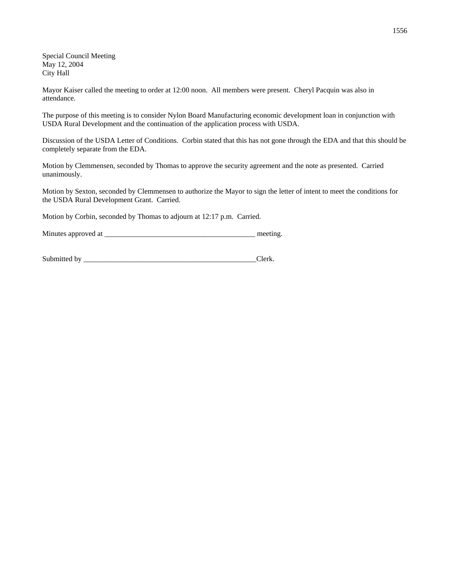Special Council Meeting May 12, 2004 City Hall

Mayor Kaiser called the meeting to order at 12:00 noon. All members were present. Cheryl Pacquin was also in attendance.

The purpose of this meeting is to consider Nylon Board Manufacturing economic development loan in conjunction with USDA Rural Development and the continuation of the application process with USDA.

Discussion of the USDA Letter of Conditions. Corbin stated that this has not gone through the EDA and that this should be completely separate from the EDA.

Motion by Clemmensen, seconded by Thomas to approve the security agreement and the note as presented. Carried unanimously.

Motion by Sexton, seconded by Clemmensen to authorize the Mayor to sign the letter of intent to meet the conditions for the USDA Rural Development Grant. Carried.

Motion by Corbin, seconded by Thomas to adjourn at 12:17 p.m. Carried.

Minutes approved at \_\_\_\_\_\_\_\_\_\_\_\_\_\_\_\_\_\_\_\_\_\_\_\_\_\_\_\_\_\_\_\_\_\_\_\_\_\_\_\_\_ meeting.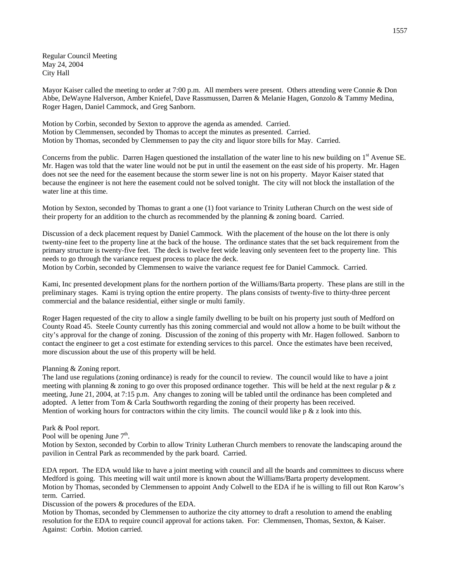Regular Council Meeting May 24, 2004 City Hall

Mayor Kaiser called the meeting to order at 7:00 p.m. All members were present. Others attending were Connie & Don Abbe, DeWayne Halverson, Amber Kniefel, Dave Rassmussen, Darren & Melanie Hagen, Gonzolo & Tammy Medina, Roger Hagen, Daniel Cammock, and Greg Sanborn.

Motion by Corbin, seconded by Sexton to approve the agenda as amended. Carried. Motion by Clemmensen, seconded by Thomas to accept the minutes as presented. Carried. Motion by Thomas, seconded by Clemmensen to pay the city and liquor store bills for May. Carried.

Concerns from the public. Darren Hagen questioned the installation of the water line to his new building on  $1<sup>st</sup>$  Avenue SE. Mr. Hagen was told that the water line would not be put in until the easement on the east side of his property. Mr. Hagen does not see the need for the easement because the storm sewer line is not on his property. Mayor Kaiser stated that because the engineer is not here the easement could not be solved tonight. The city will not block the installation of the water line at this time.

Motion by Sexton, seconded by Thomas to grant a one (1) foot variance to Trinity Lutheran Church on the west side of their property for an addition to the church as recommended by the planning & zoning board. Carried.

Discussion of a deck placement request by Daniel Cammock. With the placement of the house on the lot there is only twenty-nine feet to the property line at the back of the house. The ordinance states that the set back requirement from the primary structure is twenty-five feet. The deck is twelve feet wide leaving only seventeen feet to the property line. This needs to go through the variance request process to place the deck.

Motion by Corbin, seconded by Clemmensen to waive the variance request fee for Daniel Cammock. Carried.

Kami, Inc presented development plans for the northern portion of the Williams/Barta property. These plans are still in the preliminary stages. Kami is trying option the entire property. The plans consists of twenty-five to thirty-three percent commercial and the balance residential, either single or multi family.

Roger Hagen requested of the city to allow a single family dwelling to be built on his property just south of Medford on County Road 45. Steele County currently has this zoning commercial and would not allow a home to be built without the city's approval for the change of zoning. Discussion of the zoning of this property with Mr. Hagen followed. Sanborn to contact the engineer to get a cost estimate for extending services to this parcel. Once the estimates have been received, more discussion about the use of this property will be held.

### Planning & Zoning report.

The land use regulations (zoning ordinance) is ready for the council to review. The council would like to have a joint meeting with planning & zoning to go over this proposed ordinance together. This will be held at the next regular  $p \& z$ meeting, June 21, 2004, at 7:15 p.m. Any changes to zoning will be tabled until the ordinance has been completed and adopted. A letter from Tom & Carla Southworth regarding the zoning of their property has been received. Mention of working hours for contractors within the city limits. The council would like  $p \& z$  look into this.

### Park & Pool report.

Pool will be opening June  $7<sup>th</sup>$ .

Motion by Sexton, seconded by Corbin to allow Trinity Lutheran Church members to renovate the landscaping around the pavilion in Central Park as recommended by the park board. Carried.

EDA report. The EDA would like to have a joint meeting with council and all the boards and committees to discuss where Medford is going. This meeting will wait until more is known about the Williams/Barta property development. Motion by Thomas, seconded by Clemmensen to appoint Andy Colwell to the EDA if he is willing to fill out Ron Karow's term. Carried.

Discussion of the powers & procedures of the EDA.

Motion by Thomas, seconded by Clemmensen to authorize the city attorney to draft a resolution to amend the enabling resolution for the EDA to require council approval for actions taken. For: Clemmensen, Thomas, Sexton, & Kaiser. Against: Corbin. Motion carried.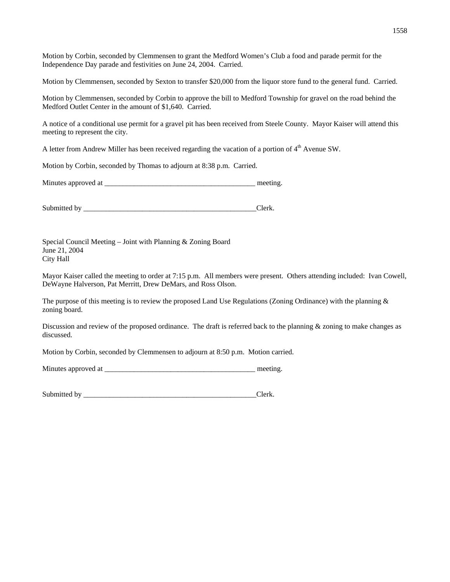Motion by Corbin, seconded by Clemmensen to grant the Medford Women's Club a food and parade permit for the Independence Day parade and festivities on June 24, 2004. Carried.

Motion by Clemmensen, seconded by Sexton to transfer \$20,000 from the liquor store fund to the general fund. Carried.

Motion by Clemmensen, seconded by Corbin to approve the bill to Medford Township for gravel on the road behind the Medford Outlet Center in the amount of \$1,640. Carried.

A notice of a conditional use permit for a gravel pit has been received from Steele County. Mayor Kaiser will attend this meeting to represent the city.

A letter from Andrew Miller has been received regarding the vacation of a portion of  $4<sup>th</sup>$  Avenue SW.

Motion by Corbin, seconded by Thomas to adjourn at 8:38 p.m. Carried.

Minutes approved at the setting.

Submitted by \_\_\_\_\_\_\_\_\_\_\_\_\_\_\_\_\_\_\_\_\_\_\_\_\_\_\_\_\_\_\_\_\_\_\_\_\_\_\_\_\_\_\_\_\_\_\_Clerk.

Special Council Meeting – Joint with Planning & Zoning Board June 21, 2004 City Hall

Mayor Kaiser called the meeting to order at 7:15 p.m. All members were present. Others attending included: Ivan Cowell, DeWayne Halverson, Pat Merritt, Drew DeMars, and Ross Olson.

The purpose of this meeting is to review the proposed Land Use Regulations (Zoning Ordinance) with the planning  $\&$ zoning board.

Discussion and review of the proposed ordinance. The draft is referred back to the planning & zoning to make changes as discussed.

Motion by Corbin, seconded by Clemmensen to adjourn at 8:50 p.m. Motion carried.

Minutes approved at \_\_\_\_\_\_\_\_\_\_\_\_\_\_\_\_\_\_\_\_\_\_\_\_\_\_\_\_\_\_\_\_\_\_\_\_\_\_\_\_\_ meeting.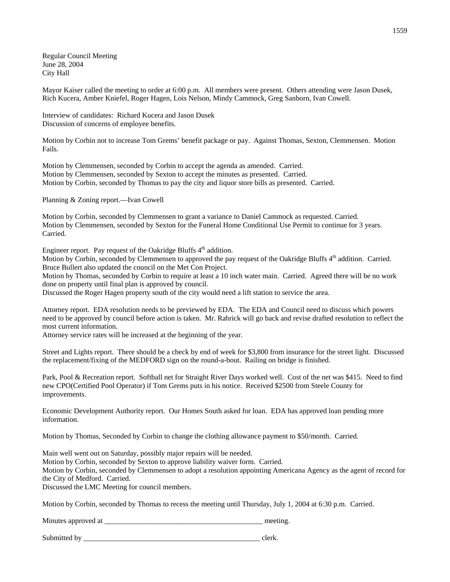Regular Council Meeting June 28, 2004 City Hall

Mayor Kaiser called the meeting to order at 6:00 p.m. All members were present. Others attending were Jason Dusek, Rich Kucera, Amber Kniefel, Roger Hagen, Lois Nelson, Mindy Cammock, Greg Sanborn, Ivan Cowell.

Interview of candidates: Richard Kucera and Jason Dusek Discussion of concerns of employee benefits.

Motion by Corbin not to increase Tom Grems' benefit package or pay. Against Thomas, Sexton, Clemmensen. Motion Fails.

Motion by Clemmensen, seconded by Corbin to accept the agenda as amended. Carried. Motion by Clemmensen, seconded by Sexton to accept the minutes as presented. Carried. Motion by Corbin, seconded by Thomas to pay the city and liquor store bills as presented. Carried.

Planning & Zoning report.—Ivan Cowell

Motion by Corbin, seconded by Clemmensen to grant a variance to Daniel Cammock as requested. Carried. Motion by Clemmensen, seconded by Sexton for the Funeral Home Conditional Use Permit to continue for 3 years. Carried.

Engineer report. Pay request of the Oakridge Bluffs  $4<sup>th</sup>$  addition.

Motion by Corbin, seconded by Clemmensen to approved the pay request of the Oakridge Bluffs 4<sup>th</sup> addition. Carried. Bruce Bullert also updated the council on the Met Con Project.

Motion by Thomas, seconded by Corbin to require at least a 10 inch water main. Carried. Agreed there will be no work done on property until final plan is approved by council.

Discussed the Roger Hagen property south of the city would need a lift station to service the area.

Attorney report. EDA resolution needs to be previewed by EDA. The EDA and Council need to discuss which powers need to be approved by council before action is taken. Mr. Rahrick will go back and revise drafted resolution to reflect the most current information.

Attorney service rates will be increased at the beginning of the year.

Street and Lights report. There should be a check by end of week for \$3,800 from insurance for the street light. Discussed the replacement/fixing of the MEDFORD sign on the round-a-bout. Railing on bridge is finished.

Park, Pool & Recreation report. Softball net for Straight River Days worked well. Cost of the net was \$415. Need to find new CPO(Certified Pool Operator) if Tom Grems puts in his notice. Received \$2500 from Steele County for improvements.

Economic Development Authority report. Our Homes South asked for loan. EDA has approved loan pending more information.

Motion by Thomas, Seconded by Corbin to change the clothing allowance payment to \$50/month. Carried.

Main well went out on Saturday, possibly major repairs will be needed.

Motion by Corbin, seconded by Sexton to approve liability waiver form. Carried.

Motion by Corbin, seconded by Clemmensen to adopt a resolution appointing Americana Agency as the agent of record for the City of Medford. Carried.

Discussed the LMC Meeting for council members.

Motion by Corbin, seconded by Thomas to recess the meeting until Thursday, July 1, 2004 at 6:30 p.m. Carried.

Minutes approved at \_\_\_\_\_\_\_\_\_\_\_\_\_\_\_\_\_\_\_\_\_\_\_\_\_\_\_\_\_\_\_\_\_\_\_\_\_\_\_\_\_\_\_ meeting.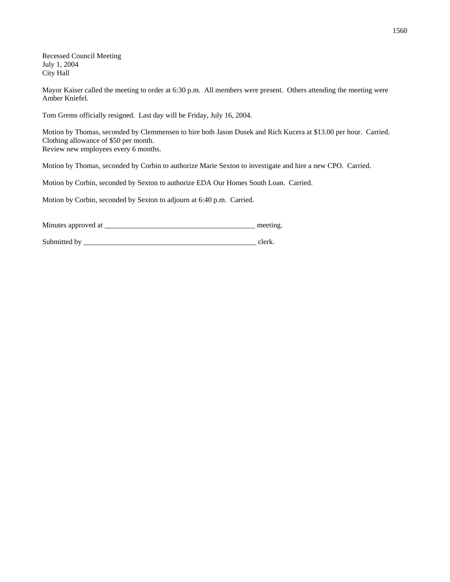Recessed Council Meeting July 1, 2004 City Hall

Mayor Kaiser called the meeting to order at 6:30 p.m. All members were present. Others attending the meeting were Amber Kniefel.

Tom Grems officially resigned. Last day will be Friday, July 16, 2004.

Motion by Thomas, seconded by Clemmensen to hire both Jason Dusek and Rich Kucera at \$13.00 per hour. Carried. Clothing allowance of \$50 per month. Review new employees every 6 months.

Motion by Thomas, seconded by Corbin to authorize Marie Sexton to investigate and hire a new CPO. Carried.

Motion by Corbin, seconded by Sexton to authorize EDA Our Homes South Loan. Carried.

Motion by Corbin, seconded by Sexton to adjourn at 6:40 p.m. Carried.

Minutes approved at \_\_\_\_\_\_\_\_\_\_\_\_\_\_\_\_\_\_\_\_\_\_\_\_\_\_\_\_\_\_\_\_\_\_\_\_\_\_\_\_\_ meeting.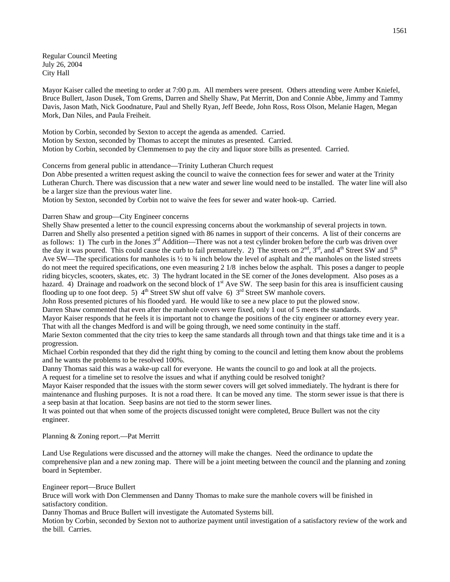Regular Council Meeting July 26, 2004 City Hall

Mayor Kaiser called the meeting to order at 7:00 p.m. All members were present. Others attending were Amber Kniefel, Bruce Bullert, Jason Dusek, Tom Grems, Darren and Shelly Shaw, Pat Merritt, Don and Connie Abbe, Jimmy and Tammy Davis, Jason Math, Nick Goodnature, Paul and Shelly Ryan, Jeff Beede, John Ross, Ross Olson, Melanie Hagen, Megan Mork, Dan Niles, and Paula Freiheit.

Motion by Corbin, seconded by Sexton to accept the agenda as amended. Carried. Motion by Sexton, seconded by Thomas to accept the minutes as presented. Carried. Motion by Corbin, seconded by Clemmensen to pay the city and liquor store bills as presented. Carried.

Concerns from general public in attendance—Trinity Lutheran Church request

Don Abbe presented a written request asking the council to waive the connection fees for sewer and water at the Trinity Lutheran Church. There was discussion that a new water and sewer line would need to be installed. The water line will also be a larger size than the previous water line.

Motion by Sexton, seconded by Corbin not to waive the fees for sewer and water hook-up. Carried.

Darren Shaw and group—City Engineer concerns

Shelly Shaw presented a letter to the council expressing concerns about the workmanship of several projects in town. Darren and Shelly also presented a petition signed with 86 names in support of their concerns. A list of their concerns are as follows: 1) The curb in the Jones  $3<sup>rd</sup>$  Addition—There was not a test cylinder broken before the curb was driven over the day it was poured. This could cause the curb to fail prematurely. 2) The streets on  $2<sup>nd</sup>$ ,  $3<sup>rd</sup>$ , and  $4<sup>th</sup>$  Street SW and  $5<sup>th</sup>$ Ave SW—The specifications for manholes is  $\frac{1}{2}$  to  $\frac{3}{4}$  inch below the level of asphalt and the manholes on the listed streets do not meet the required specifications, one even measuring 2 1/8 inches below the asphalt. This poses a danger to people riding bicycles, scooters, skates, etc. 3) The hydrant located in the SE corner of the Jones development. Also poses as a hazard. 4) Drainage and roadwork on the second block of 1<sup>st</sup> Ave SW. The seep basin for this area is insufficient causing flooding up to one foot deep. 5)  $4<sup>th</sup>$  Street SW shut off valve 6)  $3<sup>rd</sup>$  Street SW manhole covers.

John Ross presented pictures of his flooded yard. He would like to see a new place to put the plowed snow.

Darren Shaw commented that even after the manhole covers were fixed, only 1 out of 5 meets the standards.

Mayor Kaiser responds that he feels it is important not to change the positions of the city engineer or attorney every year. That with all the changes Medford is and will be going through, we need some continuity in the staff.

Marie Sexton commented that the city tries to keep the same standards all through town and that things take time and it is a progression.

Michael Corbin responded that they did the right thing by coming to the council and letting them know about the problems and he wants the problems to be resolved 100%.

Danny Thomas said this was a wake-up call for everyone. He wants the council to go and look at all the projects. A request for a timeline set to resolve the issues and what if anything could be resolved tonight?

Mayor Kaiser responded that the issues with the storm sewer covers will get solved immediately. The hydrant is there for maintenance and flushing purposes. It is not a road there. It can be moved any time. The storm sewer issue is that there is a seep basin at that location. Seep basins are not tied to the storm sewer lines.

It was pointed out that when some of the projects discussed tonight were completed, Bruce Bullert was not the city engineer.

Planning & Zoning report.—Pat Merritt

Land Use Regulations were discussed and the attorney will make the changes. Need the ordinance to update the comprehensive plan and a new zoning map. There will be a joint meeting between the council and the planning and zoning board in September.

Engineer report—Bruce Bullert

Bruce will work with Don Clemmensen and Danny Thomas to make sure the manhole covers will be finished in satisfactory condition.

Danny Thomas and Bruce Bullert will investigate the Automated Systems bill.

Motion by Corbin, seconded by Sexton not to authorize payment until investigation of a satisfactory review of the work and the bill. Carries.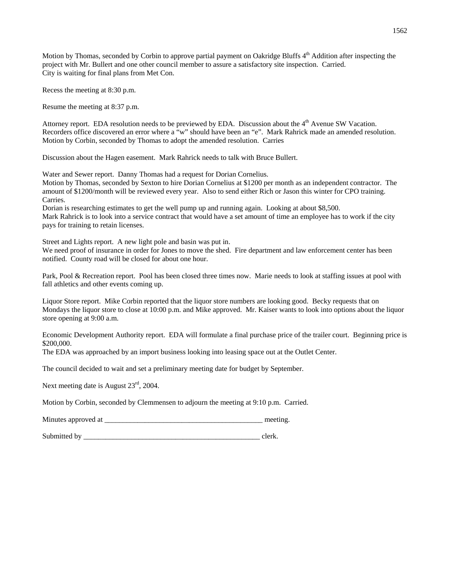Motion by Thomas, seconded by Corbin to approve partial payment on Oakridge Bluffs 4<sup>th</sup> Addition after inspecting the project with Mr. Bullert and one other council member to assure a satisfactory site inspection. Carried. City is waiting for final plans from Met Con.

Recess the meeting at 8:30 p.m.

Resume the meeting at 8:37 p.m.

Attorney report. EDA resolution needs to be previewed by EDA. Discussion about the  $4<sup>th</sup>$  Avenue SW Vacation. Recorders office discovered an error where a "w" should have been an "e". Mark Rahrick made an amended resolution. Motion by Corbin, seconded by Thomas to adopt the amended resolution. Carries

Discussion about the Hagen easement. Mark Rahrick needs to talk with Bruce Bullert.

Water and Sewer report. Danny Thomas had a request for Dorian Cornelius.

Motion by Thomas, seconded by Sexton to hire Dorian Cornelius at \$1200 per month as an independent contractor. The amount of \$1200/month will be reviewed every year. Also to send either Rich or Jason this winter for CPO training. Carries.

Dorian is researching estimates to get the well pump up and running again. Looking at about \$8,500. Mark Rahrick is to look into a service contract that would have a set amount of time an employee has to work if the city pays for training to retain licenses.

Street and Lights report. A new light pole and basin was put in.

We need proof of insurance in order for Jones to move the shed. Fire department and law enforcement center has been notified. County road will be closed for about one hour.

Park, Pool & Recreation report. Pool has been closed three times now. Marie needs to look at staffing issues at pool with fall athletics and other events coming up.

Liquor Store report. Mike Corbin reported that the liquor store numbers are looking good. Becky requests that on Mondays the liquor store to close at 10:00 p.m. and Mike approved. Mr. Kaiser wants to look into options about the liquor store opening at 9:00 a.m.

Economic Development Authority report. EDA will formulate a final purchase price of the trailer court. Beginning price is \$200,000.

The EDA was approached by an import business looking into leasing space out at the Outlet Center.

The council decided to wait and set a preliminary meeting date for budget by September.

Next meeting date is August  $23<sup>rd</sup>$ , 2004.

Motion by Corbin, seconded by Clemmensen to adjourn the meeting at 9:10 p.m. Carried.

Minutes approved at \_\_\_\_\_\_\_\_\_\_\_\_\_\_\_\_\_\_\_\_\_\_\_\_\_\_\_\_\_\_\_\_\_\_\_\_\_\_\_\_\_\_\_ meeting.

Submitted by even clerk.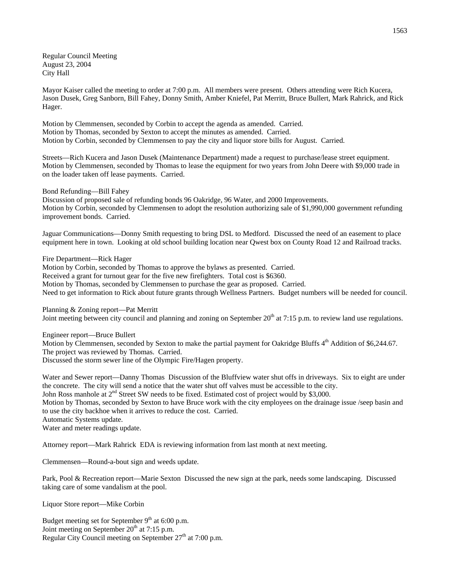Regular Council Meeting August 23, 2004 City Hall

Mayor Kaiser called the meeting to order at 7:00 p.m. All members were present. Others attending were Rich Kucera, Jason Dusek, Greg Sanborn, Bill Fahey, Donny Smith, Amber Kniefel, Pat Merritt, Bruce Bullert, Mark Rahrick, and Rick Hager.

Motion by Clemmensen, seconded by Corbin to accept the agenda as amended. Carried. Motion by Thomas, seconded by Sexton to accept the minutes as amended. Carried. Motion by Corbin, seconded by Clemmensen to pay the city and liquor store bills for August. Carried.

Streets—Rich Kucera and Jason Dusek (Maintenance Department) made a request to purchase/lease street equipment. Motion by Clemmensen, seconded by Thomas to lease the equipment for two years from John Deere with \$9,000 trade in on the loader taken off lease payments. Carried.

Bond Refunding—Bill Fahey

Discussion of proposed sale of refunding bonds 96 Oakridge, 96 Water, and 2000 Improvements. Motion by Corbin, seconded by Clemmensen to adopt the resolution authorizing sale of \$1,990,000 government refunding improvement bonds. Carried.

Jaguar Communications—Donny Smith requesting to bring DSL to Medford. Discussed the need of an easement to place equipment here in town. Looking at old school building location near Qwest box on County Road 12 and Railroad tracks.

Fire Department—Rick Hager

Motion by Corbin, seconded by Thomas to approve the bylaws as presented. Carried. Received a grant for turnout gear for the five new firefighters. Total cost is \$6360. Motion by Thomas, seconded by Clemmensen to purchase the gear as proposed. Carried. Need to get information to Rick about future grants through Wellness Partners. Budget numbers will be needed for council.

Planning & Zoning report—Pat Merritt

Joint meeting between city council and planning and zoning on September  $20<sup>th</sup>$  at 7:15 p.m. to review land use regulations.

Engineer report—Bruce Bullert

Motion by Clemmensen, seconded by Sexton to make the partial payment for Oakridge Bluffs 4<sup>th</sup> Addition of \$6,244.67. The project was reviewed by Thomas. Carried. Discussed the storm sewer line of the Olympic Fire/Hagen property.

Water and Sewer report—Danny Thomas Discussion of the Bluffview water shut offs in driveways. Six to eight are under the concrete. The city will send a notice that the water shut off valves must be accessible to the city.

John Ross manhole at 2<sup>nd</sup> Street SW needs to be fixed. Estimated cost of project would by \$3,000.

Motion by Thomas, seconded by Sexton to have Bruce work with the city employees on the drainage issue /seep basin and to use the city backhoe when it arrives to reduce the cost. Carried.

Automatic Systems update.

Water and meter readings update.

Attorney report—Mark Rahrick EDA is reviewing information from last month at next meeting.

Clemmensen—Round-a-bout sign and weeds update.

Park, Pool & Recreation report—Marie Sexton Discussed the new sign at the park, needs some landscaping. Discussed taking care of some vandalism at the pool.

Liquor Store report—Mike Corbin

Budget meeting set for September 9<sup>th</sup> at 6:00 p.m. Joint meeting on September  $20<sup>th</sup>$  at 7:15 p.m. Regular City Council meeting on September 27<sup>th</sup> at 7:00 p.m.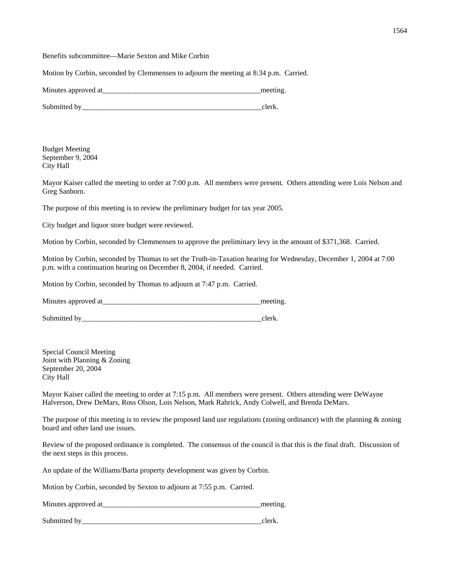Benefits subcommittee—Marie Sexton and Mike Corbin

Motion by Corbin, seconded by Clemmensen to adjourn the meeting at 8:34 p.m. Carried.

| Minutes approved at |  |
|---------------------|--|
|                     |  |

Submitted by even clerk.

Budget Meeting September 9, 2004 City Hall

Mayor Kaiser called the meeting to order at 7:00 p.m. All members were present. Others attending were Lois Nelson and Greg Sanborn.

The purpose of this meeting is to review the preliminary budget for tax year 2005.

City budget and liquor store budget were reviewed.

Motion by Corbin, seconded by Clemmensen to approve the preliminary levy in the amount of \$371,368. Carried.

Motion by Corbin, seconded by Thomas to set the Truth-in-Taxation hearing for Wednesday, December 1, 2004 at 7:00 p.m. with a continuation hearing on December 8, 2004, if needed. Carried.

Motion by Corbin, seconded by Thomas to adjourn at 7:47 p.m. Carried.

Minutes approved at the setting and the setting and the setting and the setting.

Submitted by\_\_\_\_\_\_\_\_\_\_\_\_\_\_\_\_\_\_\_\_\_\_\_\_\_\_\_\_\_\_\_\_\_\_\_\_\_\_\_\_\_\_\_\_\_\_\_\_\_clerk.

Special Council Meeting Joint with Planning & Zoning September 20, 2004 City Hall

Mayor Kaiser called the meeting to order at 7:15 p.m. All members were present. Others attending were DeWayne Halverson, Drew DeMars, Ross Olson, Lois Nelson, Mark Rahrick, Andy Colwell, and Brenda DeMars.

The purpose of this meeting is to review the proposed land use regulations (zoning ordinance) with the planning  $\&$  zoning board and other land use issues.

Review of the proposed ordinance is completed. The consensus of the council is that this is the final draft. Discussion of the next steps in this process.

An update of the Williams/Barta property development was given by Corbin.

Motion by Corbin, seconded by Sexton to adjourn at 7:55 p.m. Carried.

Minutes approved at the setting and the setting and the setting.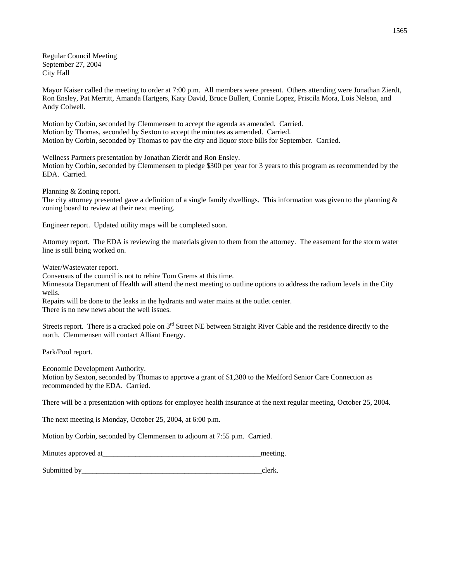Regular Council Meeting September 27, 2004 City Hall

Mayor Kaiser called the meeting to order at 7:00 p.m. All members were present. Others attending were Jonathan Zierdt, Ron Ensley, Pat Merritt, Amanda Hartgers, Katy David, Bruce Bullert, Connie Lopez, Priscila Mora, Lois Nelson, and Andy Colwell.

Motion by Corbin, seconded by Clemmensen to accept the agenda as amended. Carried. Motion by Thomas, seconded by Sexton to accept the minutes as amended. Carried. Motion by Corbin, seconded by Thomas to pay the city and liquor store bills for September. Carried.

Wellness Partners presentation by Jonathan Zierdt and Ron Ensley.

Motion by Corbin, seconded by Clemmensen to pledge \$300 per year for 3 years to this program as recommended by the EDA. Carried.

Planning & Zoning report.

The city attorney presented gave a definition of a single family dwellings. This information was given to the planning  $\&$ zoning board to review at their next meeting.

Engineer report. Updated utility maps will be completed soon.

Attorney report. The EDA is reviewing the materials given to them from the attorney. The easement for the storm water line is still being worked on.

Water/Wastewater report.

Consensus of the council is not to rehire Tom Grems at this time.

Minnesota Department of Health will attend the next meeting to outline options to address the radium levels in the City wells.

Repairs will be done to the leaks in the hydrants and water mains at the outlet center. There is no new news about the well issues.

Streets report. There is a cracked pole on 3<sup>rd</sup> Street NE between Straight River Cable and the residence directly to the north. Clemmensen will contact Alliant Energy.

Park/Pool report.

Economic Development Authority.

Motion by Sexton, seconded by Thomas to approve a grant of \$1,380 to the Medford Senior Care Connection as recommended by the EDA. Carried.

There will be a presentation with options for employee health insurance at the next regular meeting, October 25, 2004.

The next meeting is Monday, October 25, 2004, at 6:00 p.m.

Motion by Corbin, seconded by Clemmensen to adjourn at 7:55 p.m. Carried.

| Minutes approved at |  |
|---------------------|--|
|                     |  |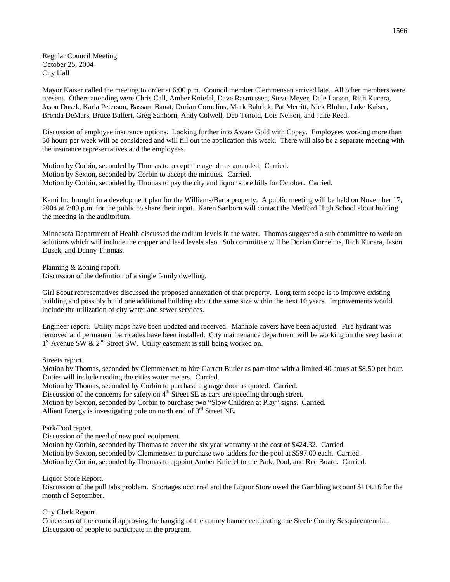Regular Council Meeting October 25, 2004 City Hall

Mayor Kaiser called the meeting to order at 6:00 p.m. Council member Clemmensen arrived late. All other members were present. Others attending were Chris Call, Amber Kniefel, Dave Rasmussen, Steve Meyer, Dale Larson, Rich Kucera, Jason Dusek, Karla Peterson, Bassam Banat, Dorian Cornelius, Mark Rahrick, Pat Merritt, Nick Bluhm, Luke Kaiser, Brenda DeMars, Bruce Bullert, Greg Sanborn, Andy Colwell, Deb Tenold, Lois Nelson, and Julie Reed.

Discussion of employee insurance options. Looking further into Aware Gold with Copay. Employees working more than 30 hours per week will be considered and will fill out the application this week. There will also be a separate meeting with the insurance representatives and the employees.

Motion by Corbin, seconded by Thomas to accept the agenda as amended. Carried. Motion by Sexton, seconded by Corbin to accept the minutes. Carried. Motion by Corbin, seconded by Thomas to pay the city and liquor store bills for October. Carried.

Kami Inc brought in a development plan for the Williams/Barta property. A public meeting will be held on November 17, 2004 at 7:00 p.m. for the public to share their input. Karen Sanborn will contact the Medford High School about holding the meeting in the auditorium.

Minnesota Department of Health discussed the radium levels in the water. Thomas suggested a sub committee to work on solutions which will include the copper and lead levels also. Sub committee will be Dorian Cornelius, Rich Kucera, Jason Dusek, and Danny Thomas.

Planning & Zoning report. Discussion of the definition of a single family dwelling.

Girl Scout representatives discussed the proposed annexation of that property. Long term scope is to improve existing building and possibly build one additional building about the same size within the next 10 years. Improvements would include the utilization of city water and sewer services.

Engineer report. Utility maps have been updated and received. Manhole covers have been adjusted. Fire hydrant was removed and permanent barricades have been installed. City maintenance department will be working on the seep basin at  $1<sup>st</sup>$  Avenue SW &  $2<sup>nd</sup>$  Street SW. Utility easement is still being worked on.

Streets report.

Motion by Thomas, seconded by Clemmensen to hire Garrett Butler as part-time with a limited 40 hours at \$8.50 per hour. Duties will include reading the cities water meters. Carried.

Motion by Thomas, seconded by Corbin to purchase a garage door as quoted. Carried.

Discussion of the concerns for safety on  $4<sup>th</sup>$  Street SE as cars are speeding through street.

Motion by Sexton, seconded by Corbin to purchase two "Slow Children at Play" signs. Carried.

Alliant Energy is investigating pole on north end of 3<sup>rd</sup> Street NE.

Park/Pool report.

Discussion of the need of new pool equipment.

Motion by Corbin, seconded by Thomas to cover the six year warranty at the cost of \$424.32. Carried. Motion by Sexton, seconded by Clemmensen to purchase two ladders for the pool at \$597.00 each. Carried. Motion by Corbin, seconded by Thomas to appoint Amber Kniefel to the Park, Pool, and Rec Board. Carried.

Liquor Store Report.

Discussion of the pull tabs problem. Shortages occurred and the Liquor Store owed the Gambling account \$114.16 for the month of September.

City Clerk Report.

Concensus of the council approving the hanging of the county banner celebrating the Steele County Sesquicentennial. Discussion of people to participate in the program.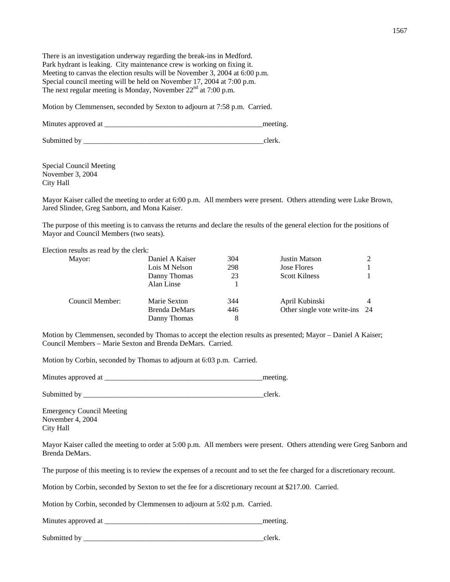There is an investigation underway regarding the break-ins in Medford. Park hydrant is leaking. City maintenance crew is working on fixing it. Meeting to canvas the election results will be November 3, 2004 at 6:00 p.m. Special council meeting will be held on November 17, 2004 at 7:00 p.m. The next regular meeting is Monday, November  $22<sup>nd</sup>$  at 7:00 p.m.

Motion by Clemmensen, seconded by Sexton to adjourn at 7:58 p.m. Carried.

Minutes approved at the setting and the setting and the setting.

Submitted by \_\_\_\_\_\_\_\_\_\_\_\_\_\_\_\_\_\_\_\_\_\_\_\_\_\_\_\_\_\_\_\_\_\_\_\_\_\_\_\_\_\_\_\_\_\_\_\_\_clerk.

Special Council Meeting November 3, 2004 City Hall

Mayor Kaiser called the meeting to order at 6:00 p.m. All members were present. Others attending were Luke Brown, Jared Slindee, Greg Sanborn, and Mona Kaiser.

The purpose of this meeting is to canvass the returns and declare the results of the general election for the positions of Mayor and Council Members (two seats).

Election results as read by the clerk:

| Mayor:          | Daniel A Kaiser      | 304 | <b>Justin Matson</b>           |  |
|-----------------|----------------------|-----|--------------------------------|--|
|                 | Lois M Nelson        | 298 | <b>Jose Flores</b>             |  |
|                 | Danny Thomas         | 23  | <b>Scott Kilness</b>           |  |
|                 | Alan Linse           |     |                                |  |
| Council Member: | Marie Sexton         | 344 | April Kubinski                 |  |
|                 | <b>Brenda DeMars</b> | 446 | Other single vote write-ins 24 |  |
|                 | Danny Thomas         | 8   |                                |  |

Motion by Clemmensen, seconded by Thomas to accept the election results as presented; Mayor – Daniel A Kaiser; Council Members – Marie Sexton and Brenda DeMars. Carried.

Motion by Corbin, seconded by Thomas to adjourn at 6:03 p.m. Carried.

Minutes approved at the setting and the setting and the setting.

Submitted by \_\_\_\_\_\_\_\_\_\_\_\_\_\_\_\_\_\_\_\_\_\_\_\_\_\_\_\_\_\_\_\_\_\_\_\_\_\_\_\_\_\_\_\_\_\_\_\_\_clerk.

Emergency Council Meeting November 4, 2004 City Hall

Mayor Kaiser called the meeting to order at 5:00 p.m. All members were present. Others attending were Greg Sanborn and Brenda DeMars.

The purpose of this meeting is to review the expenses of a recount and to set the fee charged for a discretionary recount.

Motion by Corbin, seconded by Sexton to set the fee for a discretionary recount at \$217.00. Carried.

Motion by Corbin, seconded by Clemmensen to adjourn at 5:02 p.m. Carried.

Minutes approved at \_\_\_\_\_\_\_\_\_\_\_\_\_\_\_\_\_\_\_\_\_\_\_\_\_\_\_\_\_\_\_\_\_\_\_\_\_\_\_\_\_\_\_meeting.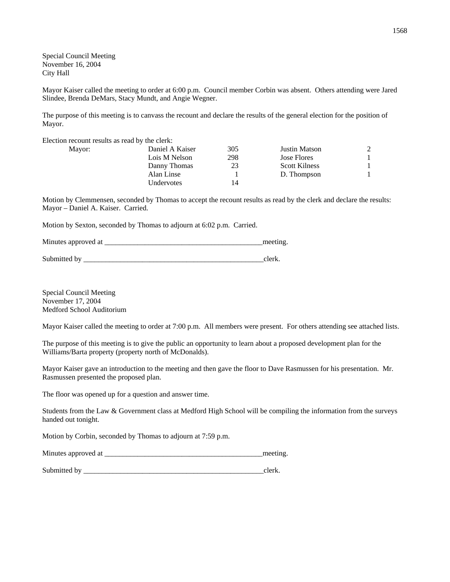Special Council Meeting November 16, 2004 City Hall

Mayor Kaiser called the meeting to order at 6:00 p.m. Council member Corbin was absent. Others attending were Jared Slindee, Brenda DeMars, Stacy Mundt, and Angie Wegner.

The purpose of this meeting is to canvass the recount and declare the results of the general election for the position of Mayor.

Election recount results as read by the clerk:

| Mayor: | Daniel A Kaiser | 305 | Justin Matson        |  |
|--------|-----------------|-----|----------------------|--|
|        | Lois M Nelson   | 298 | Jose Flores          |  |
|        | Danny Thomas    | 23  | <b>Scott Kilness</b> |  |
|        | Alan Linse      |     | D. Thompson          |  |
|        | Undervotes      | 14  |                      |  |
|        |                 |     |                      |  |

Motion by Clemmensen, seconded by Thomas to accept the recount results as read by the clerk and declare the results: Mayor – Daniel A. Kaiser. Carried.

Motion by Sexton, seconded by Thomas to adjourn at 6:02 p.m. Carried.

| Minutes approved at |  |
|---------------------|--|
|                     |  |

Submitted by \_\_\_\_\_\_\_\_\_\_\_\_\_\_\_\_\_\_\_\_\_\_\_\_\_\_\_\_\_\_\_\_\_\_\_\_\_\_\_\_\_\_\_\_\_\_\_\_\_clerk.

Special Council Meeting November 17, 2004 Medford School Auditorium

Mayor Kaiser called the meeting to order at 7:00 p.m. All members were present. For others attending see attached lists.

The purpose of this meeting is to give the public an opportunity to learn about a proposed development plan for the Williams/Barta property (property north of McDonalds).

Mayor Kaiser gave an introduction to the meeting and then gave the floor to Dave Rasmussen for his presentation. Mr. Rasmussen presented the proposed plan.

The floor was opened up for a question and answer time.

Students from the Law & Government class at Medford High School will be compiling the information from the surveys handed out tonight.

Motion by Corbin, seconded by Thomas to adjourn at 7:59 p.m.

| Minutes approved at |  |  |
|---------------------|--|--|
|---------------------|--|--|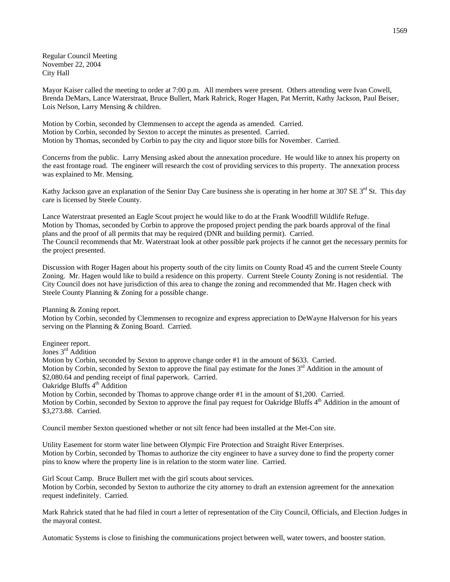Regular Council Meeting November 22, 2004 City Hall

Mayor Kaiser called the meeting to order at 7:00 p.m. All members were present. Others attending were Ivan Cowell, Brenda DeMars, Lance Waterstraat, Bruce Bullert, Mark Rahrick, Roger Hagen, Pat Merritt, Kathy Jackson, Paul Beiser, Lois Nelson, Larry Mensing & children.

Motion by Corbin, seconded by Clemmensen to accept the agenda as amended. Carried. Motion by Corbin, seconded by Sexton to accept the minutes as presented. Carried. Motion by Thomas, seconded by Corbin to pay the city and liquor store bills for November. Carried.

Concerns from the public. Larry Mensing asked about the annexation procedure. He would like to annex his property on the east frontage road. The engineer will research the cost of providing services to this property. The annexation process was explained to Mr. Mensing.

Kathy Jackson gave an explanation of the Senior Day Care business she is operating in her home at 307 SE 3<sup>rd</sup> St. This day care is licensed by Steele County.

Lance Waterstraat presented an Eagle Scout project he would like to do at the Frank Woodfill Wildlife Refuge. Motion by Thomas, seconded by Corbin to approve the proposed project pending the park boards approval of the final plans and the proof of all permits that may be required (DNR and building permit). Carried. The Council recommends that Mr. Waterstraat look at other possible park projects if he cannot get the necessary permits for the project presented.

Discussion with Roger Hagen about his property south of the city limits on County Road 45 and the current Steele County Zoning. Mr. Hagen would like to build a residence on this property. Current Steele County Zoning is not residential. The City Council does not have jurisdiction of this area to change the zoning and recommended that Mr. Hagen check with Steele County Planning & Zoning for a possible change.

Planning & Zoning report.

Motion by Corbin, seconded by Clemmensen to recognize and express appreciation to DeWayne Halverson for his years serving on the Planning & Zoning Board. Carried.

Engineer report.

Jones 3<sup>rd</sup> Addition

Motion by Corbin, seconded by Sexton to approve change order #1 in the amount of \$633. Carried. Motion by Corbin, seconded by Sexton to approve the final pay estimate for the Jones  $3<sup>rd</sup>$  Addition in the amount of \$2,080.64 and pending receipt of final paperwork. Carried. Oakridge Bluffs 4<sup>th</sup> Addition

Motion by Corbin, seconded by Thomas to approve change order #1 in the amount of \$1,200. Carried. Motion by Corbin, seconded by Sexton to approve the final pay request for Oakridge Bluffs 4<sup>th</sup> Addition in the amount of \$3,273.88. Carried.

Council member Sexton questioned whether or not silt fence had been installed at the Met-Con site.

Utility Easement for storm water line between Olympic Fire Protection and Straight River Enterprises. Motion by Corbin, seconded by Thomas to authorize the city engineer to have a survey done to find the property corner pins to know where the property line is in relation to the storm water line. Carried.

Girl Scout Camp. Bruce Bullert met with the girl scouts about services. Motion by Corbin, seconded by Sexton to authorize the city attorney to draft an extension agreement for the annexation request indefinitely. Carried.

Mark Rahrick stated that he had filed in court a letter of representation of the City Council, Officials, and Election Judges in the mayoral contest.

Automatic Systems is close to finishing the communications project between well, water towers, and booster station.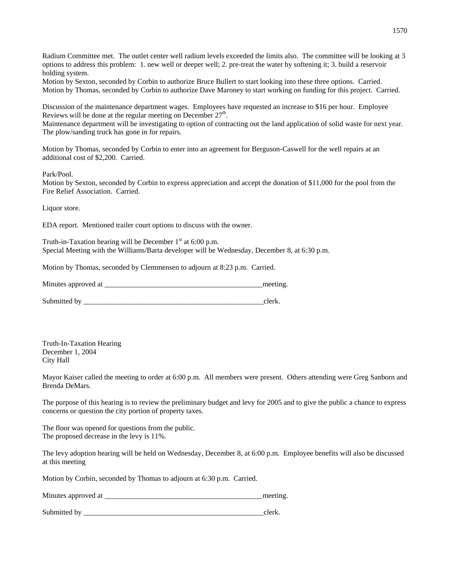Radium Committee met. The outlet center well radium levels exceeded the limits also. The committee will be looking at 3 options to address this problem: 1. new well or deeper well; 2. pre-treat the water by softening it; 3. build a reservoir holding system.

Motion by Sexton, seconded by Corbin to authorize Bruce Bullert to start looking into these three options. Carried. Motion by Thomas, seconded by Corbin to authorize Dave Maroney to start working on funding for this project. Carried.

Discussion of the maintenance department wages. Employees have requested an increase to \$16 per hour. Employee Reviews will be done at the regular meeting on December  $27<sup>th</sup>$ .

Maintenance department will be investigating to option of contracting out the land application of solid waste for next year. The plow/sanding truck has gone in for repairs.

Motion by Thomas, seconded by Corbin to enter into an agreement for Berguson-Caswell for the well repairs at an additional cost of \$2,200. Carried.

Park/Pool.

Motion by Sexton, seconded by Corbin to express appreciation and accept the donation of \$11,000 for the pool from the Fire Relief Association. Carried.

Liquor store.

EDA report. Mentioned trailer court options to discuss with the owner.

Truth-in-Taxation hearing will be December  $1<sup>st</sup>$  at 6:00 p.m. Special Meeting with the Williams/Barta developer will be Wednesday, December 8, at 6:30 p.m.

Motion by Thomas, seconded by Clemmensen to adjourn at 8:23 p.m. Carried.

| Minutes approved at | meeting |
|---------------------|---------|
|---------------------|---------|

Submitted by clerk.

Truth-In-Taxation Hearing December 1, 2004 City Hall

Mayor Kaiser called the meeting to order at 6:00 p.m. All members were present. Others attending were Greg Sanborn and Brenda DeMars.

The purpose of this hearing is to review the preliminary budget and levy for 2005 and to give the public a chance to express concerns or question the city portion of property taxes.

The floor was opened for questions from the public. The proposed decrease in the levy is 11%.

The levy adoption hearing will be held on Wednesday, December 8, at 6:00 p.m. Employee benefits will also be discussed at this meeting

Motion by Corbin, seconded by Thomas to adjourn at 6:30 p.m. Carried.

Minutes approved at \_\_\_\_\_\_\_\_\_\_\_\_\_\_\_\_\_\_\_\_\_\_\_\_\_\_\_\_\_\_\_\_\_\_\_\_\_\_\_\_\_\_\_meeting.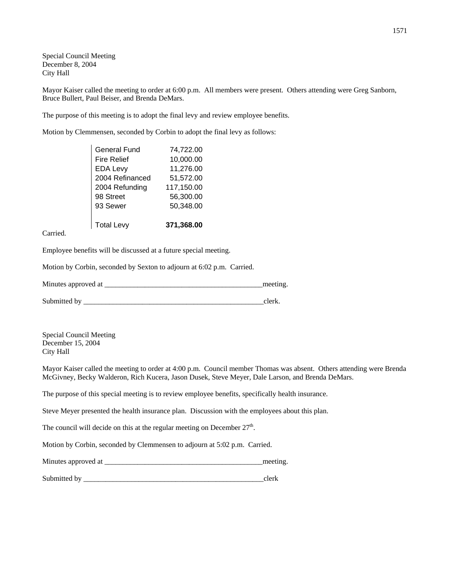Special Council Meeting December 8, 2004 City Hall

Mayor Kaiser called the meeting to order at 6:00 p.m. All members were present. Others attending were Greg Sanborn, Bruce Bullert, Paul Beiser, and Brenda DeMars.

The purpose of this meeting is to adopt the final levy and review employee benefits.

Motion by Clemmensen, seconded by Corbin to adopt the final levy as follows:

| General Fund       | 74,722.00  |
|--------------------|------------|
| <b>Fire Relief</b> | 10,000.00  |
| <b>EDA Levy</b>    | 11,276.00  |
| 2004 Refinanced    | 51,572.00  |
| 2004 Refunding     | 117,150.00 |
| 98 Street          | 56,300.00  |
| 93 Sewer           | 50,348.00  |
|                    |            |
| <b>Total Levy</b>  | 371,368.00 |

Carried.

Employee benefits will be discussed at a future special meeting.

Motion by Corbin, seconded by Sexton to adjourn at 6:02 p.m. Carried.

| Minutes approved at | meetins |
|---------------------|---------|
|                     |         |

Submitted by \_\_\_\_\_\_\_\_\_\_\_\_\_\_\_\_\_\_\_\_\_\_\_\_\_\_\_\_\_\_\_\_\_\_\_\_\_\_\_\_\_\_\_\_\_\_\_\_\_clerk.

Special Council Meeting December 15, 2004 City Hall

Mayor Kaiser called the meeting to order at 4:00 p.m. Council member Thomas was absent. Others attending were Brenda McGivney, Becky Walderon, Rich Kucera, Jason Dusek, Steve Meyer, Dale Larson, and Brenda DeMars.

The purpose of this special meeting is to review employee benefits, specifically health insurance.

Steve Meyer presented the health insurance plan. Discussion with the employees about this plan.

The council will decide on this at the regular meeting on December  $27<sup>th</sup>$ .

Motion by Corbin, seconded by Clemmensen to adjourn at 5:02 p.m. Carried.

| Minutes approved at |  |  |
|---------------------|--|--|
|---------------------|--|--|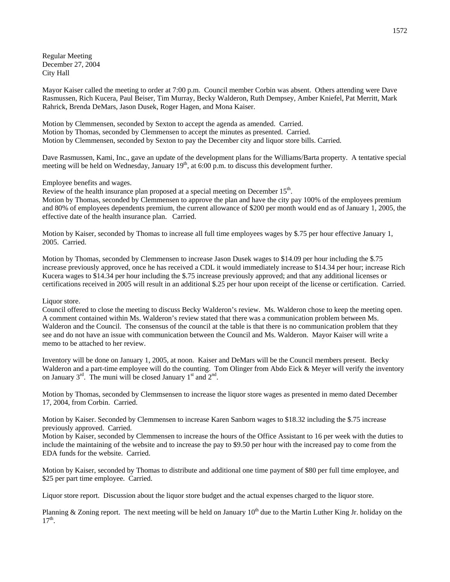Regular Meeting December 27, 2004 City Hall

Mayor Kaiser called the meeting to order at 7:00 p.m. Council member Corbin was absent. Others attending were Dave Rasmussen, Rich Kucera, Paul Beiser, Tim Murray, Becky Walderon, Ruth Dempsey, Amber Kniefel, Pat Merritt, Mark Rahrick, Brenda DeMars, Jason Dusek, Roger Hagen, and Mona Kaiser.

Motion by Clemmensen, seconded by Sexton to accept the agenda as amended. Carried. Motion by Thomas, seconded by Clemmensen to accept the minutes as presented. Carried. Motion by Clemmensen, seconded by Sexton to pay the December city and liquor store bills. Carried.

Dave Rasmussen, Kami, Inc., gave an update of the development plans for the Williams/Barta property. A tentative special meeting will be held on Wednesday, January 19<sup>th</sup>, at 6:00 p.m. to discuss this development further.

## Employee benefits and wages.

Review of the health insurance plan proposed at a special meeting on December 15<sup>th</sup>. Motion by Thomas, seconded by Clemmensen to approve the plan and have the city pay 100% of the employees premium and 80% of employees dependents premium, the current allowance of \$200 per month would end as of January 1, 2005, the effective date of the health insurance plan. Carried.

Motion by Kaiser, seconded by Thomas to increase all full time employees wages by \$.75 per hour effective January 1, 2005. Carried.

Motion by Thomas, seconded by Clemmensen to increase Jason Dusek wages to \$14.09 per hour including the \$.75 increase previously approved, once he has received a CDL it would immediately increase to \$14.34 per hour; increase Rich Kucera wages to \$14.34 per hour including the \$.75 increase previously approved; and that any additional licenses or certifications received in 2005 will result in an additional \$.25 per hour upon receipt of the license or certification. Carried.

### Liquor store.

Council offered to close the meeting to discuss Becky Walderon's review. Ms. Walderon chose to keep the meeting open. A comment contained within Ms. Walderon's review stated that there was a communication problem between Ms. Walderon and the Council. The consensus of the council at the table is that there is no communication problem that they see and do not have an issue with communication between the Council and Ms. Walderon. Mayor Kaiser will write a memo to be attached to her review.

Inventory will be done on January 1, 2005, at noon. Kaiser and DeMars will be the Council members present. Becky Walderon and a part-time employee will do the counting. Tom Olinger from Abdo Eick & Meyer will verify the inventory on January  $3<sup>rd</sup>$ . The muni will be closed January 1<sup>st</sup> and  $2<sup>nd</sup>$ .

Motion by Thomas, seconded by Clemmsensen to increase the liquor store wages as presented in memo dated December 17, 2004, from Corbin. Carried.

Motion by Kaiser. Seconded by Clemmensen to increase Karen Sanborn wages to \$18.32 including the \$.75 increase previously approved. Carried.

Motion by Kaiser, seconded by Clemmensen to increase the hours of the Office Assistant to 16 per week with the duties to include the maintaining of the website and to increase the pay to \$9.50 per hour with the increased pay to come from the EDA funds for the website. Carried.

Motion by Kaiser, seconded by Thomas to distribute and additional one time payment of \$80 per full time employee, and \$25 per part time employee. Carried.

Liquor store report. Discussion about the liquor store budget and the actual expenses charged to the liquor store.

Planning & Zoning report. The next meeting will be held on January  $10<sup>th</sup>$  due to the Martin Luther King Jr. holiday on the  $17<sup>th</sup>$ .